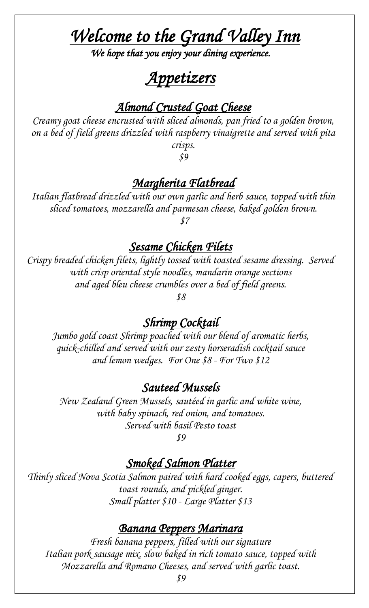# *Welcome to the Grand Valley Inn*

*We hope that you enjoy your dining experience.* 

# *Appetizers*

### *Almond Crusted Goat Cheese*

*Creamy goat cheese encrusted with sliced almonds, pan fried to a golden brown, on a bed of field greens drizzled with raspberry vinaigrette and served with pita crisps.* 

*\$9*

#### *Margherita Flatbread*

*Italian flatbread drizzled with our own garlic and herb sauce, topped with thin sliced tomatoes, mozzarella and parmesan cheese, baked golden brown. \$7*

#### *Sesame Chicken Filets*

*Crispy breaded chicken filets, lightly tossed with toasted sesame dressing. Served with crisp oriental style noodles, mandarin orange sections and aged bleu cheese crumbles over a bed of field greens.* 

*\$8*

#### *Shrimp Cocktail*

*Jumbo gold coast Shrimp poached with our blend of aromatic herbs, quick-chilled and served with our zesty horseradish cocktail sauce and lemon wedges. For One \$8 - For Two \$12*

#### *Sauteed Mussels*

*New Zealand Green Mussels, sautéed in garlic and white wine, with baby spinach, red onion, and tomatoes. Served with basil Pesto toast*

*\$9*

### *Smoked Salmon Platter*

*Thinly sliced Nova Scotia Salmon paired with hard cooked eggs, capers, buttered toast rounds, and pickled ginger. Small platter \$10 - Large Platter \$13*

#### *Banana Peppers Marinara*

*Fresh banana peppers, filled with our signature Italian pork sausage mix, slow baked in rich tomato sauce, topped with Mozzarella and Romano Cheeses, and served with garlic toast.*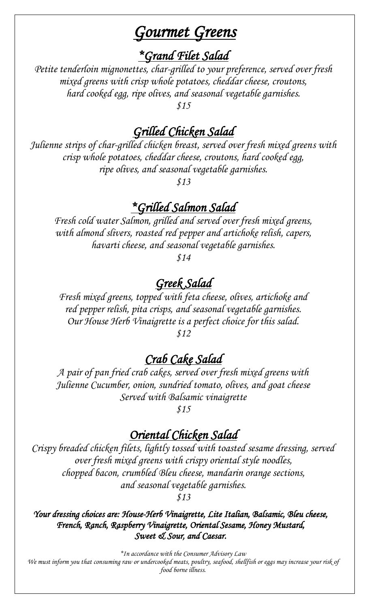# *Gourmet Greens*

*\*Grand Filet Salad* 

*Petite tenderloin mignonettes, char-grilled to your preference, served over fresh mixed greens with crisp whole potatoes, cheddar cheese, croutons, hard cooked egg, ripe olives, and seasonal vegetable garnishes.*

*\$15*

# *Grilled Chicken Salad*

*Julienne strips of char-grilled chicken breast, served over fresh mixed greens with crisp whole potatoes, cheddar cheese, croutons, hard cooked egg, ripe olives, and seasonal vegetable garnishes.*

*\$13*

### *\*Grilled Salmon Salad*

*Fresh cold water Salmon, grilled and served over fresh mixed greens, with almond slivers, roasted red pepper and artichoke relish, capers, havarti cheese, and seasonal vegetable garnishes.*

*\$14*

### *Greek Salad*

*Fresh mixed greens, topped with feta cheese, olives, artichoke and red pepper relish, pita crisps, and seasonal vegetable garnishes. Our House Herb Vinaigrette is a perfect choice for this salad. \$12*

### *Crab Cake Salad*

*A pair of pan fried crab cakes, served over fresh mixed greens with Julienne Cucumber, onion, sundried tomato, olives, and goat cheese Served with Balsamic vinaigrette*

*\$15*

#### *Oriental Chicken Salad*

*Crispy breaded chicken filets, lightly tossed with toasted sesame dressing, served over fresh mixed greens with crispy oriental style noodles, chopped bacon, crumbled Bleu cheese, mandarin orange sections, and seasonal vegetable garnishes.*

*\$13*

*Your dressing choices are: House-Herb Vinaigrette, Lite Italian, Balsamic, Bleu cheese, French, Ranch, Raspberry Vinaigrette, Oriental Sesame, Honey Mustard, Sweet & Sour, and Caesar.* 

*\*In accordance with the Consumer Advisory Law*

*We must inform you that consuming raw or undercooked meats, poultry, seafood, shellfish or eggs may increase your risk of food borne illness.*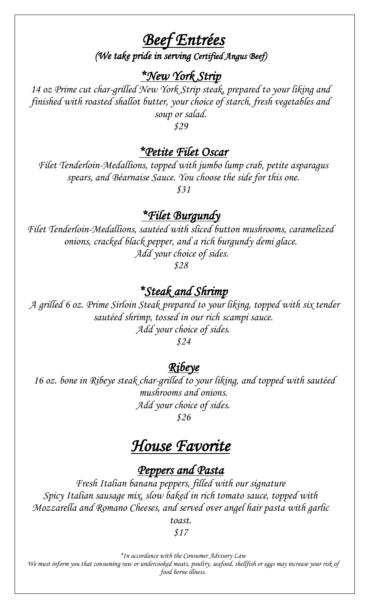*Beef Entrées* 

*(We take pride in serving Certified Angus Beef)* 

#### *\*New York Strip*

*14 oz Prime cut char-grilled New York Strip steak, prepared to your liking and finished with roasted shallot butter, your choice of starch, fresh vegetables and soup or salad.*

*\$29*

#### *\*Petite Filet Oscar*

*Filet Tenderloin-Medallions, topped with jumbo lump crab, petite asparagus spears, and Béarnaise Sauce. You choose the side for this one. \$31*

#### *\*Filet Burgundy*

*Filet Tenderloin-Medallions, sautéed with sliced button mushrooms, caramelized onions, cracked black pepper, and a rich burgundy demi glace. Add your choice of sides.*

*\$28*

#### *\*Steak and Shrimp*

*A grilled 6 oz. Prime Sirloin Steak prepared to your liking, topped with six tender sautéed shrimp, tossed in our rich scampi sauce. Add your choice of sides. \$24*

*Ribeye* 

*16 oz. bone in Ribeye steak char-grilled to your liking, and topped with sautéed mushrooms and onions. Add your choice of sides.*

*\$26*

# *House Favorite*

#### *Peppers and Pasta*

*Fresh Italian banana peppers, filled with our signature Spicy Italian sausage mix, slow baked in rich tomato sauce, topped with Mozzarella and Romano Cheeses, and served over angel hair pasta with garlic toast.*

*\$17*

*\*In accordance with the Consumer Advisory Law*

*We must inform you that consuming raw or undercooked meats, poultry, seafood, shellfish or eggs may increase your risk of food borne illness.*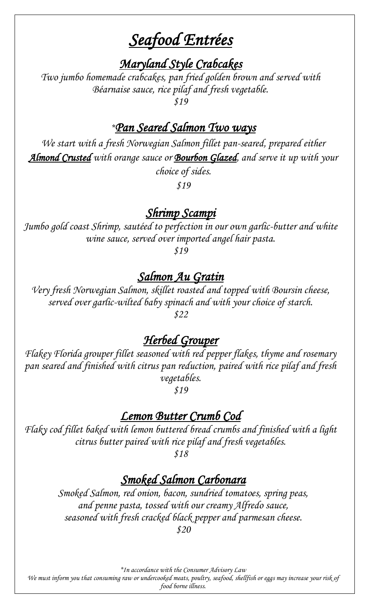# *Seafood Entrées*

*Maryland Style Crabcakes* 

*Two jumbo homemade crabcakes, pan fried golden brown and served with Béarnaise sauce, rice pilaf and fresh vegetable. \$19*

# *\*Pan Seared Salmon Two ways*

We start with a fresh Norwegian Salmon fillet pan-seared, prepared either *Almond Crusted with orange sauce or Bourbon Glazed, and serve it up with your choice of sides.*

*\$19*

#### *Shrimp Scampi*

*Jumbo gold coast Shrimp, sautéed to perfection in our own garlic-butter and white wine sauce, served over imported angel hair pasta.*

*\$19*

#### *Salmon Au Gratin*

*Very fresh Norwegian Salmon, skillet roasted and topped with Boursin cheese, served over garlic-wilted baby spinach and with your choice of starch. \$22*

#### *Herbed Grouper*

*Flakey Florida grouper fillet seasoned with red pepper flakes, thyme and rosemary pan seared and finished with citrus pan reduction, paired with rice pilaf and fresh vegetables.*

*\$19*

#### *Lemon Butter Crumb Cod*

*Flaky cod fillet baked with lemon buttered bread crumbs and finished with a light citrus butter paired with rice pilaf and fresh vegetables.*

*\$18*

#### *Smoked Salmon Carbonara*

*Smoked Salmon, red onion, bacon, sundried tomatoes, spring peas, and penne pasta, tossed with our creamy Alfredo sauce, seasoned with fresh cracked black pepper and parmesan cheese. \$20*

*\*In accordance with the Consumer Advisory Law We must inform you that consuming raw or undercooked meats, poultry, seafood, shellfish or eggs may increase your risk of food borne illness.*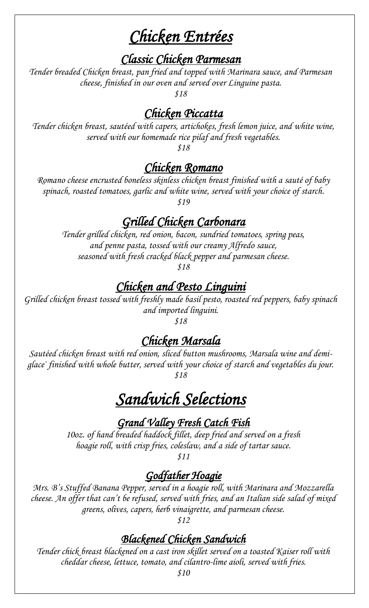# *Chicken Entrées*

#### *Classic Chicken Parmesan*

*Tender breaded Chicken breast, pan fried and topped with Marinara sauce, and Parmesan cheese, finished in our oven and served over Linguine pasta.*

*\$18*

# *Chicken Piccatta*

*Tender chicken breast, sautéed with capers, artichokes, fresh lemon juice, and white wine, served with our homemade rice pilaf and fresh vegetables.*

*\$18*

### *Chicken Romano*

*Romano cheese encrusted boneless skinless chicken breast finished with a sauté of baby spinach, roasted tomatoes, garlic and white wine, served with your choice of starch. \$19*

# *Grilled Chicken Carbonara*

*Tender grilled chicken, red onion, bacon, sundried tomatoes, spring peas, and penne pasta, tossed with our creamy Alfredo sauce, seasoned with fresh cracked black pepper and parmesan cheese.*

*\$18*

# *Chicken and Pesto Linguini*

*Grilled chicken breast tossed with freshly made basil pesto, roasted red peppers, baby spinach and imported linguini. \$18*

# *Chicken Marsala*

*Sautéed chicken breast with red onion, sliced button mushrooms, Marsala wine and demiglace` finished with whole butter, served with your choice of starch and vegetables du jour. \$18*

# *Sandwich Selections*

*Grand Valley Fresh Catch Fish* 

*10oz. of hand breaded haddock fillet, deep fried and served on a fresh hoagie roll, with crisp fries, coleslaw, and a side of tartar sauce.*

*\$11*

### *Godfather Hoagie*

*Mrs. B's Stuffed Banana Pepper, served in a hoagie roll, with Marinara and Mozzarella cheese. An offer that can't be refused, served with fries, and an Italian side salad of mixed greens, olives, capers, herb vinaigrette, and parmesan cheese.*

*\$12* 

# *Blackened Chicken Sandwich*

*Tender chick breast blackened on a cast iron skillet served on a toasted Kaiser roll with cheddar cheese, lettuce, tomato, and cilantro-lime aioli, served with fries.* 

*\$10*